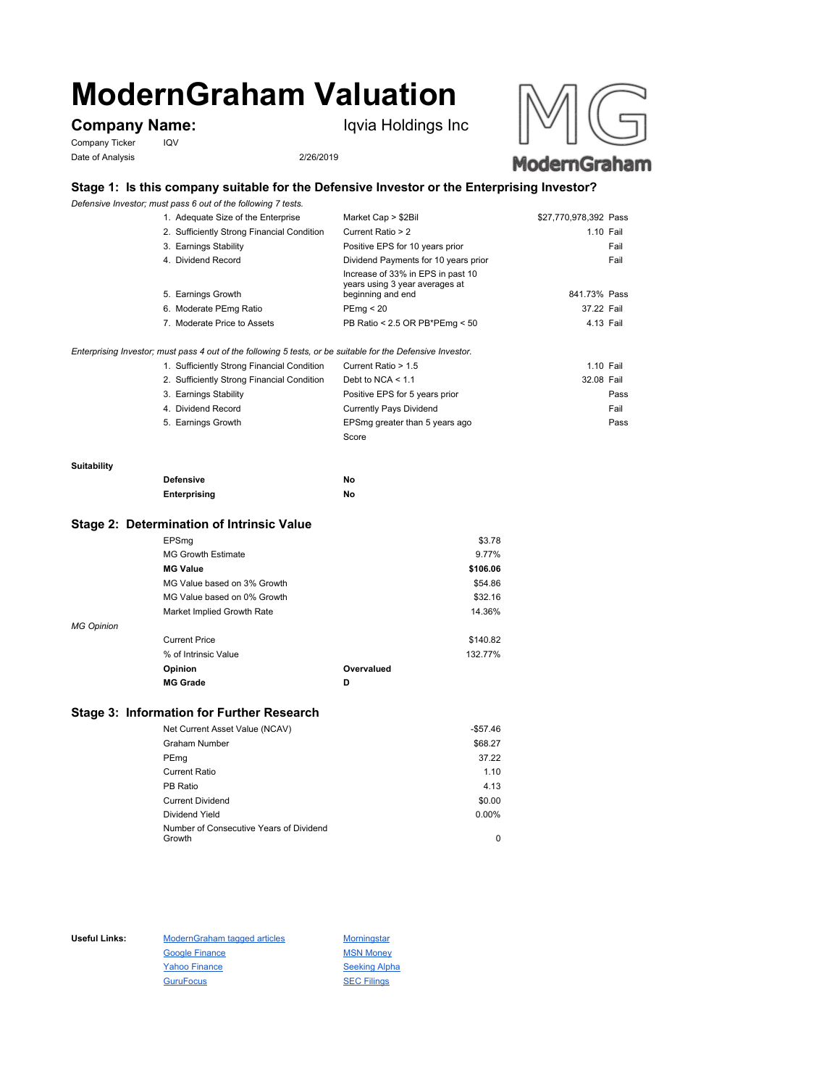# **ModernGraham Valuation**

# **Company Name:** Iqvia Holdings Inc

Company Ticker IQV Date of Analysis 2/26/2019





## **Stage 1: Is this company suitable for the Defensive Investor or the Enterprising Investor?**

*Defensive Investor; must pass 6 out of the following 7 tests.*

| 1. Adequate Size of the Enterprise                                                                          | Market Cap > \$2Bil                                                                      | \$27,770,978,392 Pass |      |
|-------------------------------------------------------------------------------------------------------------|------------------------------------------------------------------------------------------|-----------------------|------|
| 2. Sufficiently Strong Financial Condition                                                                  | Current Ratio > 2                                                                        | 1.10 Fail             |      |
| 3. Earnings Stability                                                                                       | Positive EPS for 10 years prior                                                          |                       | Fail |
| 4. Dividend Record                                                                                          | Dividend Payments for 10 years prior                                                     |                       | Fail |
| 5. Earnings Growth                                                                                          | Increase of 33% in EPS in past 10<br>years using 3 year averages at<br>beginning and end | 841.73% Pass          |      |
| 6. Moderate PEmg Ratio                                                                                      | PEma < 20                                                                                | 37.22 Fail            |      |
| 7. Moderate Price to Assets                                                                                 | PB Ratio < 2.5 OR PB*PEmg < 50                                                           | 4.13 Fail             |      |
| Enterprising Investor; must pass 4 out of the following 5 tests, or be suitable for the Defensive Investor. |                                                                                          |                       |      |
| 1. Sufficiently Strong Financial Condition                                                                  | Current Ratio > 1.5                                                                      | 1.10 Fail             |      |

| 2. Sufficiently Strong Financial Condition | Debt to NCA $<$ 1.1            | 32.08 Fail |
|--------------------------------------------|--------------------------------|------------|
| 3. Earnings Stability                      | Positive EPS for 5 years prior | Pass       |
| 4. Dividend Record                         | Currently Pays Dividend        | Fail       |
| 5. Earnings Growth                         | EPSmg greater than 5 years ago | Pass       |
|                                            | Score                          |            |

#### **Suitability**

| <b>Defensive</b> | No |
|------------------|----|
| Enterprising     | No |

#### **Stage 2: Determination of Intrinsic Value**

|                   | EPSmg                       |            | \$3.78   |
|-------------------|-----------------------------|------------|----------|
|                   | <b>MG Growth Estimate</b>   |            | 9.77%    |
|                   | <b>MG Value</b>             |            | \$106.06 |
|                   | MG Value based on 3% Growth |            | \$54.86  |
|                   | MG Value based on 0% Growth |            | \$32.16  |
|                   | Market Implied Growth Rate  |            | 14.36%   |
| <b>MG Opinion</b> |                             |            |          |
|                   | <b>Current Price</b>        |            | \$140.82 |
|                   | % of Intrinsic Value        |            | 132.77%  |
|                   | Opinion                     | Overvalued |          |
|                   | <b>MG Grade</b>             | D          |          |
|                   |                             |            |          |

### **Stage 3: Information for Further Research**

| Net Current Asset Value (NCAV)          | $-$57.46$ |
|-----------------------------------------|-----------|
| Graham Number                           | \$68.27   |
| PEmg                                    | 37.22     |
| Current Ratio                           | 1.10      |
| PB Ratio                                | 4.13      |
| <b>Current Dividend</b>                 | \$0.00    |
| Dividend Yield                          | $0.00\%$  |
| Number of Consecutive Years of Dividend |           |
| Growth                                  | 0         |

Useful Links: ModernGraham tagged articles Morningstar Google Finance MSN Money Yahoo Finance Seeking Alpha GuruFocus SEC Filings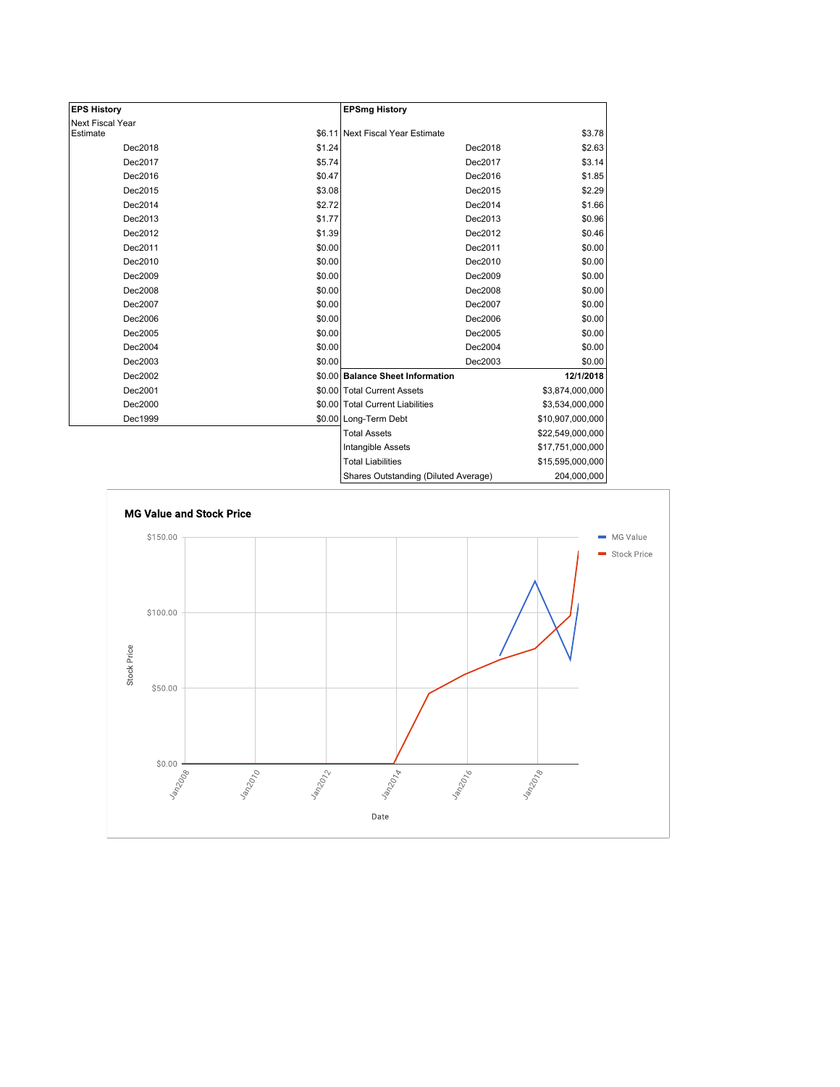| <b>EPS History</b> |        | <b>EPSmg History</b>                 |                  |
|--------------------|--------|--------------------------------------|------------------|
| Next Fiscal Year   |        |                                      |                  |
| Estimate           |        | \$6.11 Next Fiscal Year Estimate     | \$3.78           |
| Dec2018            | \$1.24 | Dec2018                              | \$2.63           |
| Dec2017            | \$5.74 | Dec2017                              | \$3.14           |
| Dec2016            | \$0.47 | Dec2016                              | \$1.85           |
| Dec2015            | \$3.08 | Dec2015                              | \$2.29           |
| Dec2014            | \$2.72 | Dec2014                              | \$1.66           |
| Dec2013            | \$1.77 | Dec2013                              | \$0.96           |
| Dec2012            | \$1.39 | Dec2012                              | \$0.46           |
| Dec2011            | \$0.00 | Dec2011                              | \$0.00           |
| Dec2010            | \$0.00 | Dec2010                              | \$0.00           |
| Dec2009            | \$0.00 | Dec2009                              | \$0.00           |
| Dec2008            | \$0.00 | Dec2008                              | \$0.00           |
| Dec2007            | \$0.00 | Dec2007                              | \$0.00           |
| Dec2006            | \$0.00 | Dec2006                              | \$0.00           |
| Dec2005            | \$0.00 | Dec2005                              | \$0.00           |
| Dec2004            | \$0.00 | Dec2004                              | \$0.00           |
| Dec2003            | \$0.00 | Dec2003                              | \$0.00           |
| Dec2002            |        | \$0.00 Balance Sheet Information     | 12/1/2018        |
| Dec2001            |        | \$0.00 Total Current Assets          | \$3,874,000,000  |
| Dec2000            |        | \$0.00 Total Current Liabilities     | \$3,534,000,000  |
| Dec1999            |        | \$0.00 Long-Term Debt                | \$10,907,000,000 |
|                    |        | <b>Total Assets</b>                  | \$22,549,000,000 |
|                    |        | Intangible Assets                    | \$17,751,000,000 |
|                    |        | <b>Total Liabilities</b>             | \$15,595,000,000 |
|                    |        | Charge Qutetanding (Diluted Average) | 204.000.000      |